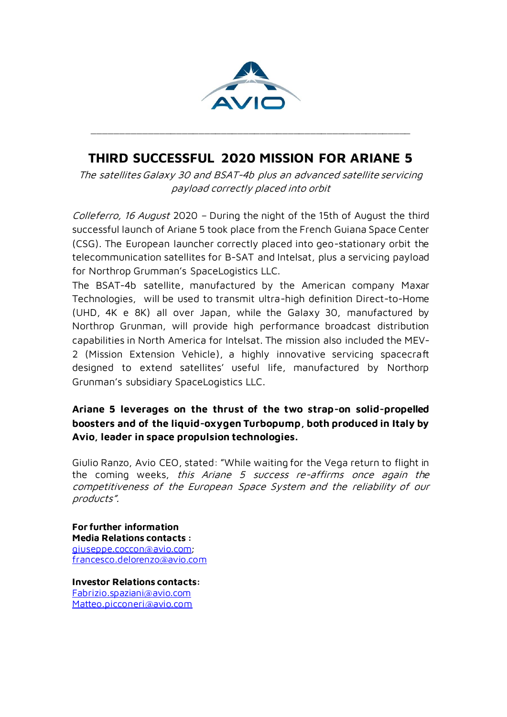

## **THIRD SUCCESSFUL 2020 MISSION FOR ARIANE 5**

\_\_\_\_\_\_\_\_\_\_\_\_\_\_\_\_\_\_\_\_\_\_\_\_\_\_\_\_\_\_\_\_\_\_\_\_\_\_\_\_\_\_\_\_\_\_\_\_\_\_\_\_\_\_\_\_\_

The satellites Galaxy 30 and BSAT-4b plus an advanced satellite servicing payload correctly placed into orbit

Colleferro, 16 August 2020 – During the night of the 15th of August the third successful launch of Ariane 5 took place from the French Guiana Space Center (CSG). The European launcher correctly placed into geo-stationary orbit the telecommunication satellites for B-SAT and Intelsat, plus a servicing payload for Northrop Grumman's SpaceLogistics LLC.

The BSAT-4b satellite, manufactured by the American company Maxar Technologies, will be used to transmit ultra-high definition Direct-to-Home (UHD, 4K e 8K) all over Japan, while the Galaxy 30, manufactured by Northrop Grunman, will provide high performance broadcast distribution capabilities in North America for Intelsat. The mission also included the MEV-2 (Mission Extension Vehicle), a highly innovative servicing spacecraft designed to extend satellites' useful life, manufactured by Northorp Grunman's subsidiary SpaceLogistics LLC.

## **Ariane 5 leverages on the thrust of the two strap-on solid-propelled boosters and of the liquid-oxygen Turbopump, both produced in Italy by Avio, leader in space propulsion technologies.**

Giulio Ranzo, Avio CEO, stated: "While waiting for the Vega return to flight in the coming weeks, this Ariane 5 success re-affirms once again the competitiveness of the European Space System and the reliability of our products".

**For further information Media Relations contacts :** [giuseppe.coccon@avio.com;](mailto:giuseppe.coccon@avio.com) [francesco.delorenzo@avio.com](mailto:francesco.delorenzo@avio.com)

**Investor Relations contacts:** [Fabrizio.spaziani@avio.com](mailto:Fabrizio.spaziani@avio.com) [Matteo.picconeri@avio.com](mailto:Matteo.picconeri@avio.com)